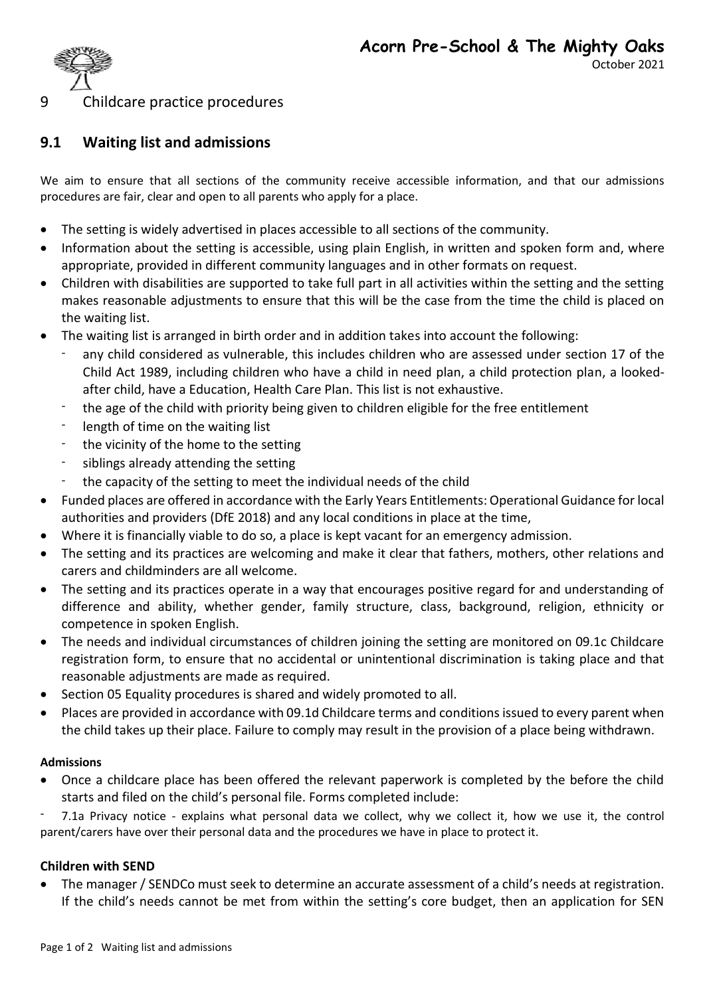

## 9 Childcare practice procedures

# **9.1 Waiting list and admissions**

We aim to ensure that all sections of the community receive accessible information, and that our admissions procedures are fair, clear and open to all parents who apply for a place.

- The setting is widely advertised in places accessible to all sections of the community.
- Information about the setting is accessible, using plain English, in written and spoken form and, where appropriate, provided in different community languages and in other formats on request.
- Children with disabilities are supported to take full part in all activities within the setting and the setting makes reasonable adjustments to ensure that this will be the case from the time the child is placed on the waiting list.
- The waiting list is arranged in birth order and in addition takes into account the following:
	- any child considered as vulnerable, this includes children who are assessed under section 17 of the Child Act 1989, including children who have a child in need plan, a child protection plan, a lookedafter child, have a Education, Health Care Plan. This list is not exhaustive.
	- the age of the child with priority being given to children eligible for the free entitlement
	- length of time on the waiting list
	- the vicinity of the home to the setting
	- siblings already attending the setting
	- the capacity of the setting to meet the individual needs of the child
- Funded places are offered in accordance with the Early Years Entitlements: Operational Guidance for local authorities and providers (DfE 2018) and any local conditions in place at the time,
- Where it is financially viable to do so, a place is kept vacant for an emergency admission.
- The setting and its practices are welcoming and make it clear that fathers, mothers, other relations and carers and childminders are all welcome.
- The setting and its practices operate in a way that encourages positive regard for and understanding of difference and ability, whether gender, family structure, class, background, religion, ethnicity or competence in spoken English.
- The needs and individual circumstances of children joining the setting are monitored on 09.1c Childcare registration form, to ensure that no accidental or unintentional discrimination is taking place and that reasonable adjustments are made as required.
- Section 05 Equality procedures is shared and widely promoted to all.
- Places are provided in accordance with 09.1d Childcare terms and conditions issued to every parent when the child takes up their place. Failure to comply may result in the provision of a place being withdrawn.

#### **Admissions**

• Once a childcare place has been offered the relevant paperwork is completed by the before the child starts and filed on the child's personal file. Forms completed include:

- 7.1a Privacy notice - explains what personal data we collect, why we collect it, how we use it, the control parent/carers have over their personal data and the procedures we have in place to protect it.

### **Children with SEND**

• The manager / SENDCo must seek to determine an accurate assessment of a child's needs at registration. If the child's needs cannot be met from within the setting's core budget, then an application for SEN